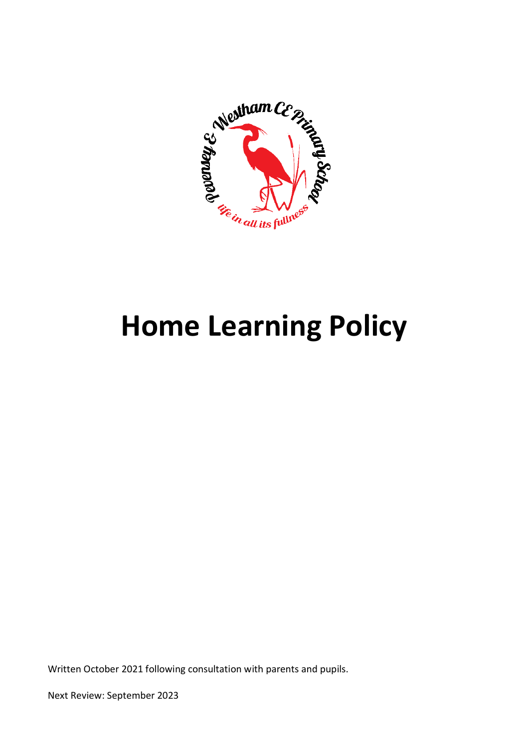

# **Home Learning Policy**

Written October 2021 following consultation with parents and pupils.

Next Review: September 2023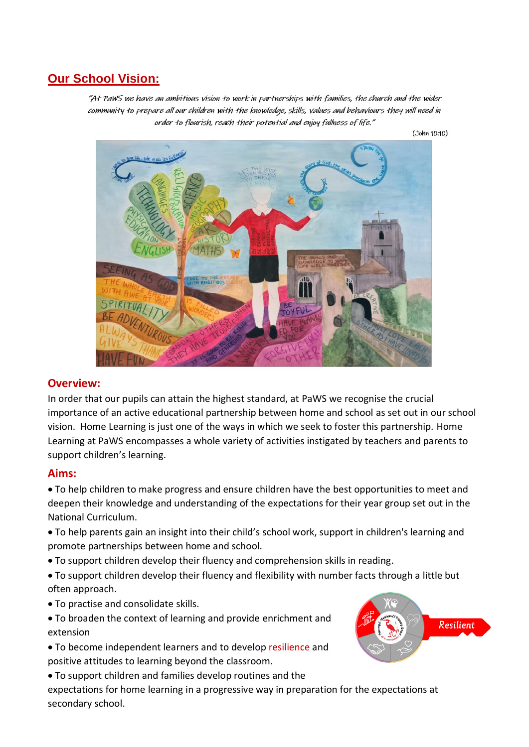# **Our School Vision:**

"At PaWS we have an ambitious vision to work in partnerships with families, the church and the wider community to prepare all our children with the knowledge, skills, values and behaviours they will need in order to flourish, reach their potential and enjoy fullness of life."

 $(John 10:10)$ 



## **Overview:**

In order that our pupils can attain the highest standard, at PaWS we recognise the crucial importance of an active educational partnership between home and school as set out in our school vision. Home Learning is just one of the ways in which we seek to foster this partnership. Home Learning at PaWS encompasses a whole variety of activities instigated by teachers and parents to support children's learning.

## **Aims:**

 To help children to make progress and ensure children have the best opportunities to meet and deepen their knowledge and understanding of the expectations for their year group set out in the National Curriculum.

- To help parents gain an insight into their child's school work, support in children's learning and promote partnerships between home and school.
- To support children develop their fluency and comprehension skills in reading.
- To support children develop their fluency and flexibility with number facts through a little but often approach.
- To practise and consolidate skills.
- To broaden the context of learning and provide enrichment and extension
- To become independent learners and to develop resilience and positive attitudes to learning beyond the classroom.
- To support children and families develop routines and the

expectations for home learning in a progressive way in preparation for the expectations at secondary school.

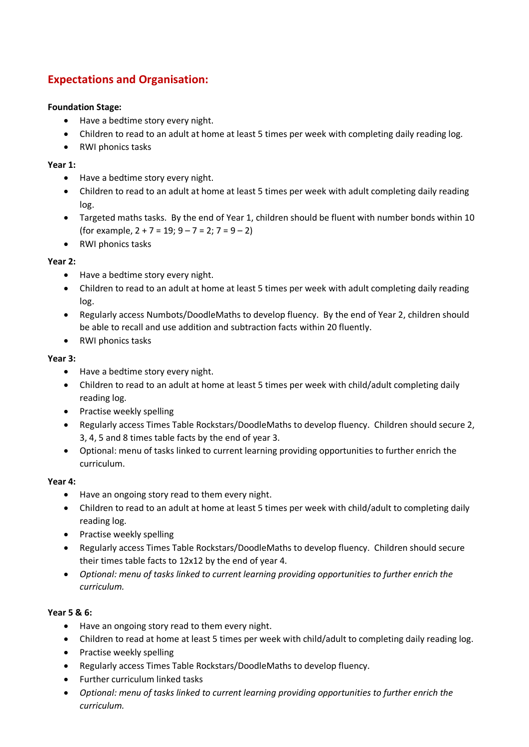# **Expectations and Organisation:**

#### **Foundation Stage:**

- Have a bedtime story every night.
- Children to read to an adult at home at least 5 times per week with completing daily reading log.
- RWI phonics tasks

#### **Year 1:**

- Have a bedtime story every night.
- Children to read to an adult at home at least 5 times per week with adult completing daily reading log.
- Targeted maths tasks. By the end of Year 1, children should be fluent with number bonds within 10 (for example,  $2 + 7 = 19$ ;  $9 - 7 = 2$ ;  $7 = 9 - 2$ )
- RWI phonics tasks

#### **Year 2:**

- Have a bedtime story every night.
- Children to read to an adult at home at least 5 times per week with adult completing daily reading log.
- Regularly access Numbots/DoodleMaths to develop fluency. By the end of Year 2, children should be able to recall and use addition and subtraction facts within 20 fluently.
- RWI phonics tasks

#### **Year 3:**

- Have a bedtime story every night.
- Children to read to an adult at home at least 5 times per week with child/adult completing daily reading log.
- Practise weekly spelling
- Regularly access Times Table Rockstars/DoodleMaths to develop fluency. Children should secure 2, 3, 4, 5 and 8 times table facts by the end of year 3.
- Optional: menu of tasks linked to current learning providing opportunities to further enrich the curriculum.

#### **Year 4:**

- Have an ongoing story read to them every night.
- Children to read to an adult at home at least 5 times per week with child/adult to completing daily reading log.
- Practise weekly spelling
- Regularly access Times Table Rockstars/DoodleMaths to develop fluency. Children should secure their times table facts to 12x12 by the end of year 4.
- *Optional: menu of tasks linked to current learning providing opportunities to further enrich the curriculum.*

#### **Year 5 & 6:**

- Have an ongoing story read to them every night.
- Children to read at home at least 5 times per week with child/adult to completing daily reading log.
- Practise weekly spelling
- Regularly access Times Table Rockstars/DoodleMaths to develop fluency.
- Further curriculum linked tasks
- *Optional: menu of tasks linked to current learning providing opportunities to further enrich the curriculum.*